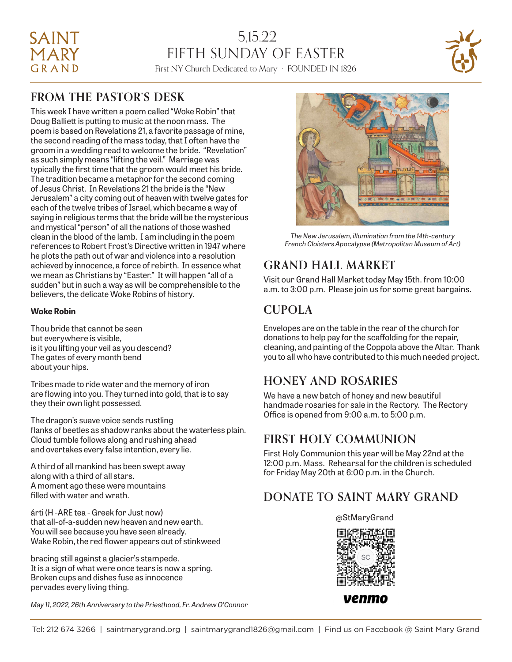## SAINT **MARY** GRAND

## 5,15.22 FIFTH SUNDAY OF EASTER

First NY Church Dedicated to Mary · FOUNDED IN 1826



## **FROM THE PASTOR'S DESK**

This week I have written a poem called "Woke Robin" that Doug Balliett is putting to music at the noon mass. The poem is based on Revelations 21, a favorite passage of mine, the second reading of the mass today, that I often have the groom in a wedding read to welcome the bride. "Revelation" as such simply means "lifting the veil." Marriage was typically the first time that the groom would meet his bride. The tradition became a metaphor for the second coming of Jesus Christ. In Revelations 21 the bride is the "New Jerusalem" a city coming out of heaven with twelve gates for each of the twelve tribes of Israel, which became a way of saying in religious terms that the bride will be the mysterious and mystical "person" of all the nations of those washed clean in the blood of the lamb. I am including in the poem references to Robert Frost's Directive written in 1947 where he plots the path out of war and violence into a resolution achieved by innocence, a force of rebirth. In essence what we mean as Christians by "Easter." It will happen "all of a sudden" but in such a way as will be comprehensible to the believers, the delicate Woke Robins of history.

#### **Woke Robin**

Thou bride that cannot be seen but everywhere is visible, is it you lifting your veil as you descend? The gates of every month bend about your hips.

Tribes made to ride water and the memory of iron are flowing into you. They turned into gold, that is to say they their own light possessed.

The dragon's suave voice sends rustling flanks of beetles as shadow ranks about the waterless plain. Cloud tumble follows along and rushing ahead and overtakes every false intention, every lie.

A third of all mankind has been swept away along with a third of all stars. A moment ago these were mountains filled with water and wrath.

árti (H -ARE tea - Greek for Just now) that all-of-a-sudden new heaven and new earth. You will see because you have seen already. Wake Robin, the red flower appears out of stinkweed

bracing still against a glacier's stampede. It is a sign of what were once tears is now a spring. Broken cups and dishes fuse as innocence pervades every living thing.

*May 11, 2022, 26th Anniversary to the Priesthood, Fr. Andrew O'Connor* 



*The New Jerusalem, illumination from the 14th-century French Cloisters Apocalypse (Metropolitan Museum of Art)*

## **GRAND HALL MARKET**

Visit our Grand Hall Market today May 15th. from 10:00 a.m. to 3:00 p.m. Please join us for some great bargains.

## **CUPOLA**

Envelopes are on the table in the rear of the church for donations to help pay for the scaffolding for the repair, cleaning, and painting of the Coppola above the Altar. Thank you to all who have contributed to this much needed project.

## **HONEY AND ROSARIES**

We have a new batch of honey and new beautiful handmade rosaries for sale in the Rectory. The Rectory Office is opened from 9:00 a.m. to 5:00 p.m.

## **FIRST HOLY COMMUNION**

First Holy Communion this year will be May 22nd at the 12:00 p.m. Mass. Rehearsal for the children is scheduled for Friday May 20th at 6:00 p.m. in the Church.

## **DONATE TO SAINT MARY GRAND**

@StMaryGrand



venmo